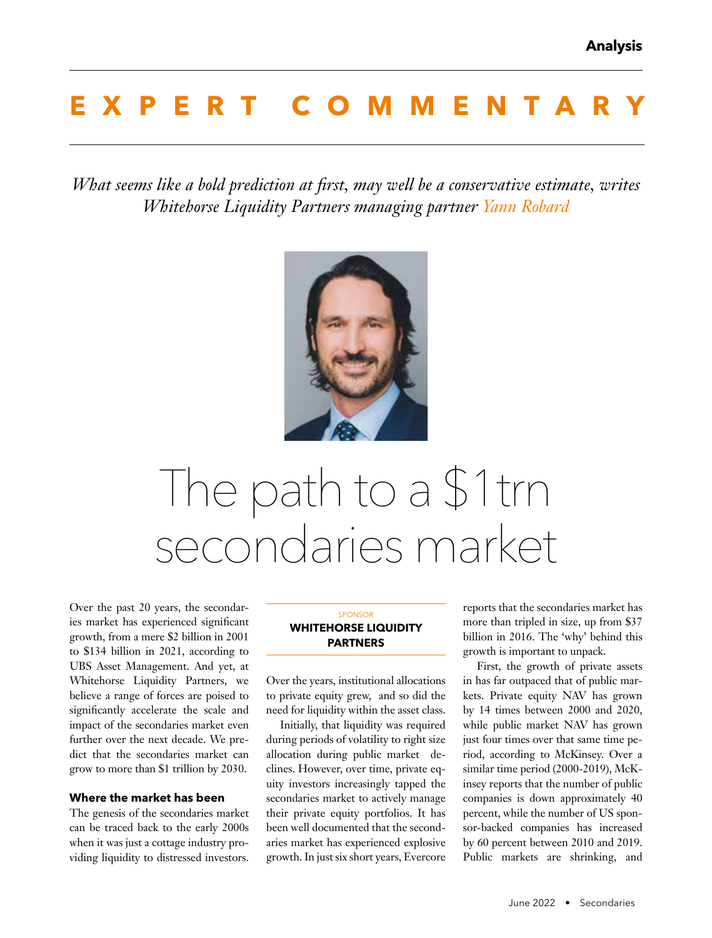# **EXPERT COMMENTARY**

*What seems like a bold prediction at first, may well be a conservative estimate, writes Whitehorse Liquidity Partners managing partner Yann Robard*



# The path to a \$1trn secondaries market

Over the past 20 years, the secondaries market has experienced significant growth, from a mere \$2 billion in 2001 to \$134 billion in 2021, according to UBS Asset Management. And yet, at Whitehorse Liquidity Partners, we believe a range of forces are poised to significantly accelerate the scale and impact of the secondaries market even further over the next decade. We predict that the secondaries market can grow to more than \$1 trillion by 2030.

#### **Where the market has been**

The genesis of the secondaries market can be traced back to the early 2000s when it was just a cottage industry providing liquidity to distressed investors.

# **SPONSOR WHITEHORSE LIQUIDITY PARTNERS**

Over the years, institutional allocations to private equity grew, and so did the need for liquidity within the asset class.

Initially, that liquidity was required during periods of volatility to right size allocation during public market declines. However, over time, private equity investors increasingly tapped the secondaries market to actively manage their private equity portfolios. It has been well documented that the secondaries market has experienced explosive growth. In just six short years, Evercore reports that the secondaries market has more than tripled in size, up from \$37 billion in 2016. The 'why' behind this growth is important to unpack.

First, the growth of private assets in has far outpaced that of public markets. Private equity NAV has grown by 14 times between 2000 and 2020, while public market NAV has grown just four times over that same time period, according to McKinsey. Over a similar time period (2000-2019), McKinsey reports that the number of public companies is down approximately 40 percent, while the number of US sponsor-backed companies has increased by 60 percent between 2010 and 2019. Public markets are shrinking, and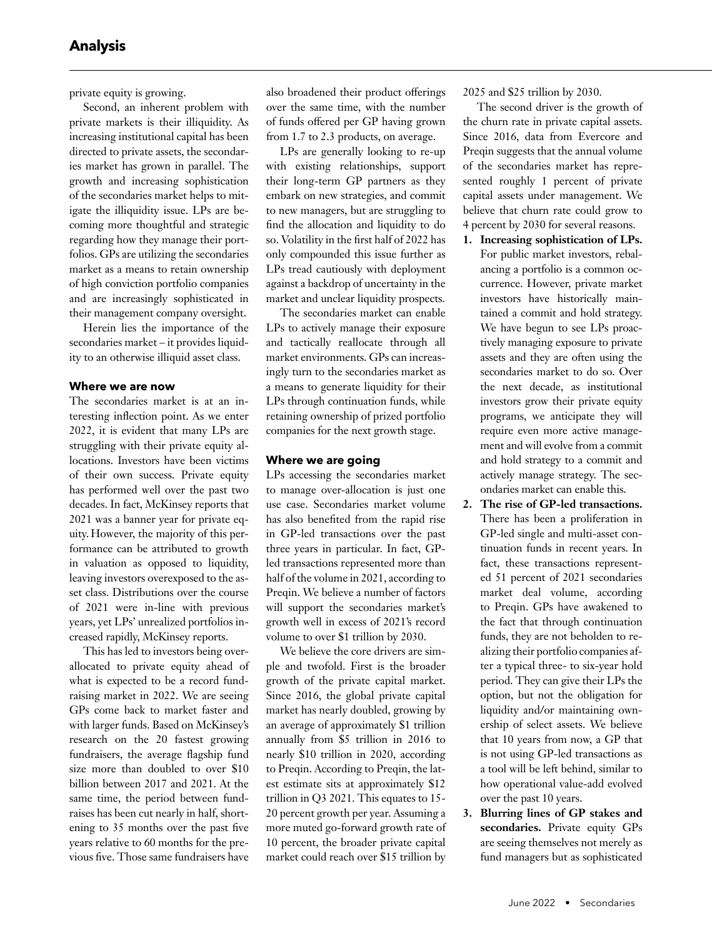private equity is growing.

Second, an inherent problem with private markets is their illiquidity. As increasing institutional capital has been directed to private assets, the secondaries market has grown in parallel. The growth and increasing sophistication of the secondaries market helps to mitigate the illiquidity issue. LPs are becoming more thoughtful and strategic regarding how they manage their portfolios. GPs are utilizing the secondaries market as a means to retain ownership of high conviction portfolio companies and are increasingly sophisticated in their management company oversight.

Herein lies the importance of the secondaries market – it provides liquidity to an otherwise illiquid asset class.

### **Where we are now**

The secondaries market is at an interesting inflection point. As we enter 2022, it is evident that many LPs are struggling with their private equity allocations. Investors have been victims of their own success. Private equity has performed well over the past two decades. In fact, McKinsey reports that 2021 was a banner year for private equity. However, the majority of this performance can be attributed to growth in valuation as opposed to liquidity, leaving investors overexposed to the asset class. Distributions over the course of 2021 were in-line with previous years, yet LPs' unrealized portfolios increased rapidly, McKinsey reports.

This has led to investors being overallocated to private equity ahead of what is expected to be a record fundraising market in 2022. We are seeing GPs come back to market faster and with larger funds. Based on McKinsey's research on the 20 fastest growing fundraisers, the average flagship fund size more than doubled to over \$10 billion between 2017 and 2021. At the same time, the period between fundraises has been cut nearly in half, shortening to 35 months over the past five years relative to 60 months for the previous five. Those same fundraisers have

also broadened their product offerings over the same time, with the number of funds offered per GP having grown from 1.7 to 2.3 products, on average.

LPs are generally looking to re-up with existing relationships, support their long-term GP partners as they embark on new strategies, and commit to new managers, but are struggling to find the allocation and liquidity to do so. Volatility in the first half of 2022 has only compounded this issue further as LPs tread cautiously with deployment against a backdrop of uncertainty in the market and unclear liquidity prospects.

The secondaries market can enable LPs to actively manage their exposure and tactically reallocate through all market environments. GPs can increasingly turn to the secondaries market as a means to generate liquidity for their LPs through continuation funds, while retaining ownership of prized portfolio companies for the next growth stage.

## **Where we are going**

LPs accessing the secondaries market to manage over-allocation is just one use case. Secondaries market volume has also benefited from the rapid rise in GP-led transactions over the past three years in particular. In fact, GPled transactions represented more than half of the volume in 2021, according to Preqin. We believe a number of factors will support the secondaries market's growth well in excess of 2021's record volume to over \$1 trillion by 2030.

We believe the core drivers are simple and twofold. First is the broader growth of the private capital market. Since 2016, the global private capital market has nearly doubled, growing by an average of approximately \$1 trillion annually from \$5 trillion in 2016 to nearly \$10 trillion in 2020, according to Preqin. According to Preqin, the latest estimate sits at approximately \$12 trillion in Q3 2021. This equates to 15- 20 percent growth per year. Assuming a more muted go-forward growth rate of 10 percent, the broader private capital market could reach over \$15 trillion by 2025 and \$25 trillion by 2030.

The second driver is the growth of the churn rate in private capital assets. Since 2016, data from Evercore and Preqin suggests that the annual volume of the secondaries market has represented roughly 1 percent of private capital assets under management. We believe that churn rate could grow to 4 percent by 2030 for several reasons.

- **1. Increasing sophistication of LPs.** For public market investors, rebalancing a portfolio is a common occurrence. However, private market investors have historically maintained a commit and hold strategy. We have begun to see LPs proactively managing exposure to private assets and they are often using the secondaries market to do so. Over the next decade, as institutional investors grow their private equity programs, we anticipate they will require even more active management and will evolve from a commit and hold strategy to a commit and actively manage strategy. The secondaries market can enable this.
- **2. The rise of GP-led transactions.** There has been a proliferation in GP-led single and multi-asset continuation funds in recent years. In fact, these transactions represented 51 percent of 2021 secondaries market deal volume, according to Preqin. GPs have awakened to the fact that through continuation funds, they are not beholden to realizing their portfolio companies after a typical three- to six-year hold period. They can give their LPs the option, but not the obligation for liquidity and/or maintaining ownership of select assets. We believe that 10 years from now, a GP that is not using GP-led transactions as a tool will be left behind, similar to how operational value-add evolved over the past 10 years.
- **3. Blurring lines of GP stakes and secondaries.** Private equity GPs are seeing themselves not merely as fund managers but as sophisticated